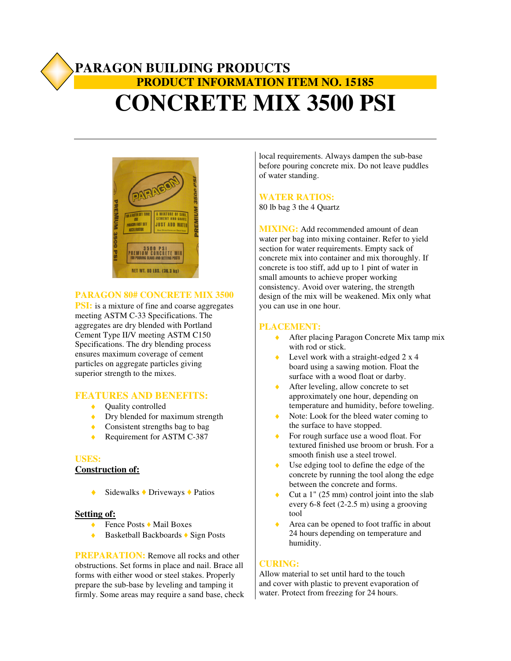# **PARAGON BUILDING PRODUCTS PRODUCT INFORMATION ITEM NO. 15185 CONCRETE MIX 3500 PSI**



# **PARAGON 80# CONCRETE MIX 3500**

**PSI:** is a mixture of fine and coarse aggregates meeting ASTM C-33 Specifications. The aggregates are dry blended with Portland Cement Type II/V meeting ASTM C150 Specifications. The dry blending process ensures maximum coverage of cement particles on aggregate particles giving superior strength to the mixes.

# **FEATURES AND BENEFITS:**

- ◆ Quality controlled
- Dry blended for maximum strength
- ◆ Consistent strengths bag to bag
- ◆ Requirement for ASTM C-387

#### **USES:**

# **Construction of:**

 $\triangle$  Sidewalks  $\triangle$  Driveways  $\triangle$  Patios

# **Setting of:**

- ◆ Fence Posts ◆ Mail Boxes
- $\triangle$  Basketball Backboards  $\triangle$  Sign Posts

**PREPARATION:** Remove all rocks and other obstructions. Set forms in place and nail. Brace all forms with either wood or steel stakes. Properly prepare the sub-base by leveling and tamping it firmly. Some areas may require a sand base, check

local requirements. Always dampen the sub-base before pouring concrete mix. Do not leave puddles of water standing.

# **WATER RATIOS:**

80 lb bag 3 the 4 Quartz

**MIXING:** Add recommended amount of dean water per bag into mixing container. Refer to yield section for water requirements. Empty sack of concrete mix into container and mix thoroughly. If concrete is too stiff, add up to 1 pint of water in small amounts to achieve proper working consistency. Avoid over watering, the strength design of the mix will be weakened. Mix only what you can use in one hour.

#### **PLACEMENT:**

- ◆ After placing Paragon Concrete Mix tamp mix with rod or stick.
- Level work with a straight-edged  $2 \times 4$ board using a sawing motion. Float the surface with a wood float or darby.
- ◆ After leveling, allow concrete to set approximately one hour, depending on temperature and humidity, before toweling.
- Note: Look for the bleed water coming to the surface to have stopped.
- For rough surface use a wood float. For textured finished use broom or brush. For a smooth finish use a steel trowel.
- Use edging tool to define the edge of the concrete by running the tool along the edge between the concrete and forms.
- Cut a  $1$ " (25 mm) control joint into the slab every 6-8 feet (2-2.5 m) using a grooving tool
- ♦ Area can be opened to foot traffic in about 24 hours depending on temperature and humidity.

#### **CURING:**

Allow material to set until hard to the touch and cover with plastic to prevent evaporation of water. Protect from freezing for 24 hours.